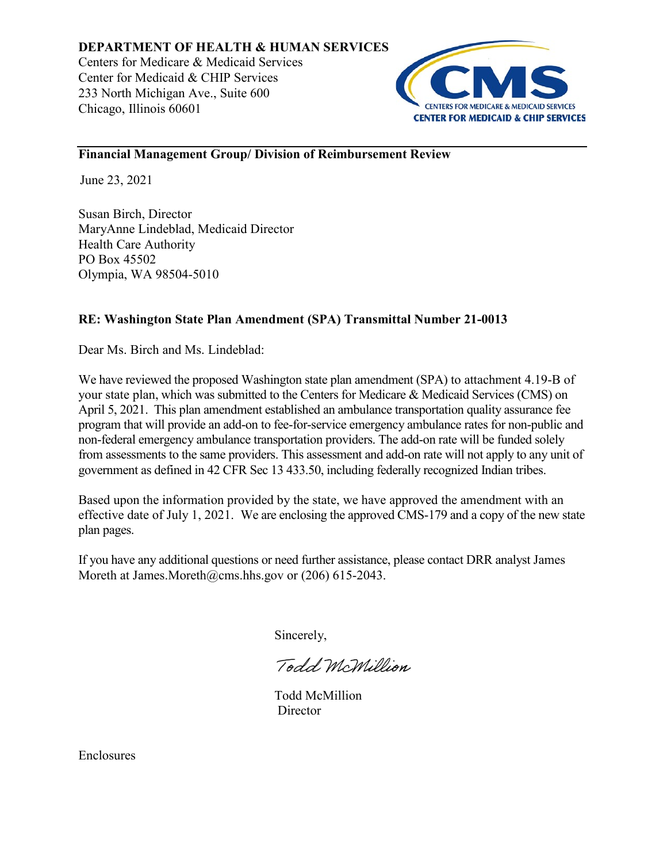

# **Financial Management Group/ Division of Reimbursement Review**

June 23, 2021

Susan Birch, Director MaryAnne Lindeblad, Medicaid Director Health Care Authority PO Box 45502 Olympia, WA 98504-5010

# **RE: Washington State Plan Amendment (SPA) Transmittal Number 21-0013**

Dear Ms. Birch and Ms. Lindeblad:

We have reviewed the proposed Washington state plan amendment (SPA) to attachment 4.19-B of your state plan, which was submitted to the Centers for Medicare & Medicaid Services (CMS) on April 5, 2021. This plan amendment established an ambulance transportation quality assurance fee program that will provide an add-on to fee-for-service emergency ambulance rates for non-public and non-federal emergency ambulance transportation providers. The add-on rate will be funded solely from assessments to the same providers. This assessment and add-on rate will not apply to any unit of government as defined in 42 CFR Sec 13 433.50, including federally recognized Indian tribes.

Based upon the information provided by the state, we have approved the amendment with an effective date of July 1, 2021. We are enclosing the approved CMS-179 and a copy of the new state plan pages.

If you have any additional questions or need further assistance, please contact DRR analyst James Moreth at James.Moreth@cms.hhs.gov or (206) 615-2043.

Sincerely,

Todd McMillion

Todd McMillion **Director** 

Enclosures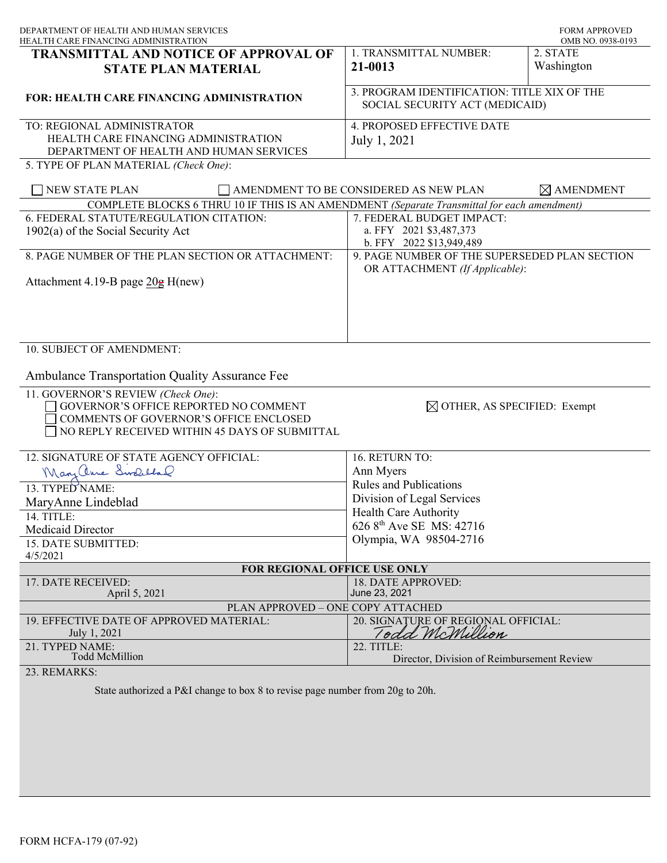| DEPARTMENT OF HEALTH AND HUMAN SERVICES<br>HEALTH CARE FINANCING ADMINISTRATION             |                                                                                 | <b>FORM APPROVED</b><br>OMB NO. 0938-0193 |
|---------------------------------------------------------------------------------------------|---------------------------------------------------------------------------------|-------------------------------------------|
| TRANSMITTAL AND NOTICE OF APPROVAL OF                                                       | 1. TRANSMITTAL NUMBER:                                                          | 2. STATE                                  |
| <b>STATE PLAN MATERIAL</b>                                                                  | 21-0013                                                                         | Washington                                |
| <b>FOR: HEALTH CARE FINANCING ADMINISTRATION</b>                                            | 3. PROGRAM IDENTIFICATION: TITLE XIX OF THE<br>SOCIAL SECURITY ACT (MEDICAID)   |                                           |
|                                                                                             |                                                                                 |                                           |
| TO: REGIONAL ADMINISTRATOR<br>HEALTH CARE FINANCING ADMINISTRATION                          | 4. PROPOSED EFFECTIVE DATE                                                      |                                           |
| DEPARTMENT OF HEALTH AND HUMAN SERVICES                                                     | July 1, 2021                                                                    |                                           |
| 5. TYPE OF PLAN MATERIAL (Check One):                                                       |                                                                                 |                                           |
| NEW STATE PLAN                                                                              | AMENDMENT TO BE CONSIDERED AS NEW PLAN                                          | $\boxtimes$ AMENDMENT                     |
| COMPLETE BLOCKS 6 THRU 10 IF THIS IS AN AMENDMENT (Separate Transmittal for each amendment) |                                                                                 |                                           |
| 6. FEDERAL STATUTE/REGULATION CITATION:                                                     | 7. FEDERAL BUDGET IMPACT:                                                       |                                           |
| $1902(a)$ of the Social Security Act                                                        | a. FFY 2021 \$3,487,373                                                         |                                           |
|                                                                                             | b. FFY 2022 \$13,949,489                                                        |                                           |
| 8. PAGE NUMBER OF THE PLAN SECTION OR ATTACHMENT:                                           | 9. PAGE NUMBER OF THE SUPERSEDED PLAN SECTION<br>OR ATTACHMENT (If Applicable): |                                           |
| Attachment 4.19-B page $20g$ H(new)                                                         |                                                                                 |                                           |
|                                                                                             |                                                                                 |                                           |
|                                                                                             |                                                                                 |                                           |
|                                                                                             |                                                                                 |                                           |
| 10. SUBJECT OF AMENDMENT:                                                                   |                                                                                 |                                           |
| Ambulance Transportation Quality Assurance Fee                                              |                                                                                 |                                           |
|                                                                                             |                                                                                 |                                           |
| 11. GOVERNOR'S REVIEW (Check One):<br>GOVERNOR'S OFFICE REPORTED NO COMMENT                 | $\boxtimes$ OTHER, AS SPECIFIED: Exempt                                         |                                           |
| COMMENTS OF GOVERNOR'S OFFICE ENCLOSED                                                      |                                                                                 |                                           |
| NO REPLY RECEIVED WITHIN 45 DAYS OF SUBMITTAL                                               |                                                                                 |                                           |
|                                                                                             |                                                                                 |                                           |
| 12. SIGNATURE OF STATE AGENCY OFFICIAL:                                                     | 16. RETURN TO:                                                                  |                                           |
| Mary Chine Sindelland                                                                       | Ann Myers                                                                       |                                           |
| 13. TYPED NAME:                                                                             | <b>Rules and Publications</b>                                                   |                                           |
| MaryAnne Lindeblad                                                                          | Division of Legal Services                                                      |                                           |
| 14. TITLE:                                                                                  | Health Care Authority                                                           |                                           |
| <b>Medicaid Director</b>                                                                    | 626 8 <sup>th</sup> Ave SE MS: 42716                                            |                                           |
| 15. DATE SUBMITTED:                                                                         | Olympia, WA 98504-2716                                                          |                                           |
| 4/5/2021                                                                                    |                                                                                 |                                           |
| FOR REGIONAL OFFICE USE ONLY                                                                |                                                                                 |                                           |
| 17. DATE RECEIVED:                                                                          | 18. DATE APPROVED:                                                              |                                           |
| April 5, 2021                                                                               | June 23, 2021                                                                   |                                           |
| PLAN APPROVED - ONE COPY ATTACHED                                                           |                                                                                 |                                           |
| 19. EFFECTIVE DATE OF APPROVED MATERIAL:<br>July 1, 2021                                    | 20. SIGNATURE OF REGIONAL OFFICIAL:<br>Todd McMillion                           |                                           |
| 21. TYPED NAME:                                                                             | 22. TITLE:                                                                      |                                           |
| <b>Todd McMillion</b>                                                                       | Director, Division of Reimbursement Review                                      |                                           |
| 23. REMARKS:                                                                                |                                                                                 |                                           |
| State authorized a P&I change to box 8 to revise page number from 20g to 20h.               |                                                                                 |                                           |